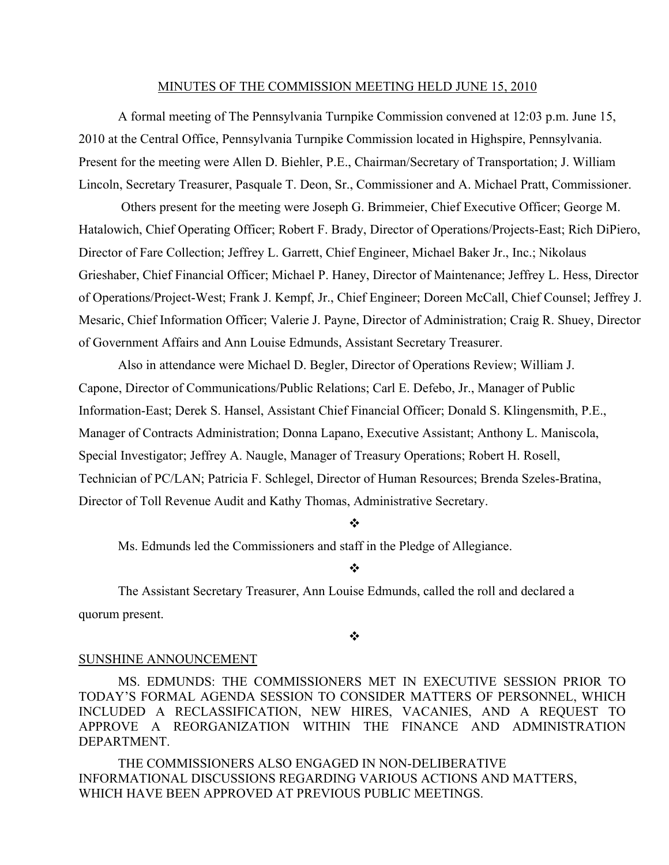#### MINUTES OF THE COMMISSION MEETING HELD JUNE 15, 2010

A formal meeting of The Pennsylvania Turnpike Commission convened at 12:03 p.m. June 15, 2010 at the Central Office, Pennsylvania Turnpike Commission located in Highspire, Pennsylvania. Present for the meeting were Allen D. Biehler, P.E., Chairman/Secretary of Transportation; J. William Lincoln, Secretary Treasurer, Pasquale T. Deon, Sr., Commissioner and A. Michael Pratt, Commissioner.

Others present for the meeting were Joseph G. Brimmeier, Chief Executive Officer; George M. Hatalowich, Chief Operating Officer; Robert F. Brady, Director of Operations/Projects-East; Rich DiPiero, Director of Fare Collection; Jeffrey L. Garrett, Chief Engineer, Michael Baker Jr., Inc.; Nikolaus Grieshaber, Chief Financial Officer; Michael P. Haney, Director of Maintenance; Jeffrey L. Hess, Director of Operations/Project-West; Frank J. Kempf, Jr., Chief Engineer; Doreen McCall, Chief Counsel; Jeffrey J. Mesaric, Chief Information Officer; Valerie J. Payne, Director of Administration; Craig R. Shuey, Director of Government Affairs and Ann Louise Edmunds, Assistant Secretary Treasurer.

Also in attendance were Michael D. Begler, Director of Operations Review; William J. Capone, Director of Communications/Public Relations; Carl E. Defebo, Jr., Manager of Public Information-East; Derek S. Hansel, Assistant Chief Financial Officer; Donald S. Klingensmith, P.E., Manager of Contracts Administration; Donna Lapano, Executive Assistant; Anthony L. Maniscola, Special Investigator; Jeffrey A. Naugle, Manager of Treasury Operations; Robert H. Rosell, Technician of PC/LAN; Patricia F. Schlegel, Director of Human Resources; Brenda Szeles-Bratina, Director of Toll Revenue Audit and Kathy Thomas, Administrative Secretary.

❖

Ms. Edmunds led the Commissioners and staff in the Pledge of Allegiance.

 $\cdot$ 

The Assistant Secretary Treasurer, Ann Louise Edmunds, called the roll and declared a quorum present.

#### ❖

#### SUNSHINE ANNOUNCEMENT

MS. EDMUNDS: THE COMMISSIONERS MET IN EXECUTIVE SESSION PRIOR TO TODAY'S FORMAL AGENDA SESSION TO CONSIDER MATTERS OF PERSONNEL, WHICH INCLUDED A RECLASSIFICATION, NEW HIRES, VACANIES, AND A REQUEST TO APPROVE A REORGANIZATION WITHIN THE FINANCE AND ADMINISTRATION DEPARTMENT.

THE COMMISSIONERS ALSO ENGAGED IN NON-DELIBERATIVE INFORMATIONAL DISCUSSIONS REGARDING VARIOUS ACTIONS AND MATTERS, WHICH HAVE BEEN APPROVED AT PREVIOUS PUBLIC MEETINGS.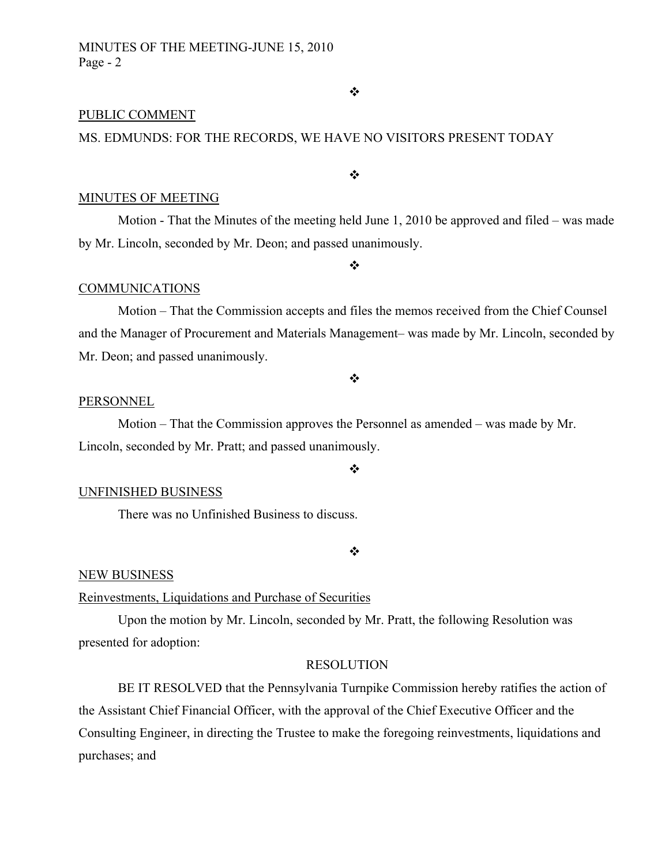## $\frac{1}{2}$

 $\frac{1}{2}$ 

### PUBLIC COMMENT

### MS. EDMUNDS: FOR THE RECORDS, WE HAVE NO VISITORS PRESENT TODAY

#### MINUTES OF MEETING

Motion - That the Minutes of the meeting held June 1, 2010 be approved and filed – was made by Mr. Lincoln, seconded by Mr. Deon; and passed unanimously.

#### ❖

### COMMUNICATIONS

Motion – That the Commission accepts and files the memos received from the Chief Counsel and the Manager of Procurement and Materials Management– was made by Mr. Lincoln, seconded by Mr. Deon; and passed unanimously.

### $\frac{1}{2}$

#### PERSONNEL

Motion – That the Commission approves the Personnel as amended – was made by Mr. Lincoln, seconded by Mr. Pratt; and passed unanimously.

### ❖

#### UNFINISHED BUSINESS

There was no Unfinished Business to discuss.

#### ❖

#### NEW BUSINESS

### Reinvestments, Liquidations and Purchase of Securities

Upon the motion by Mr. Lincoln, seconded by Mr. Pratt, the following Resolution was presented for adoption:

### RESOLUTION

BE IT RESOLVED that the Pennsylvania Turnpike Commission hereby ratifies the action of the Assistant Chief Financial Officer, with the approval of the Chief Executive Officer and the Consulting Engineer, in directing the Trustee to make the foregoing reinvestments, liquidations and purchases; and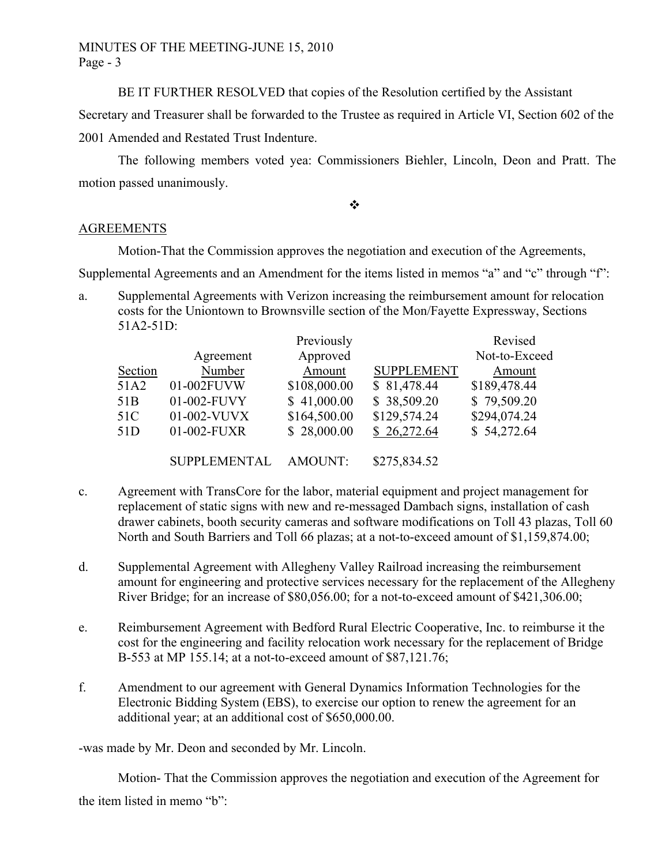BE IT FURTHER RESOLVED that copies of the Resolution certified by the Assistant

Secretary and Treasurer shall be forwarded to the Trustee as required in Article VI, Section 602 of the 2001 Amended and Restated Trust Indenture.

The following members voted yea: Commissioners Biehler, Lincoln, Deon and Pratt. The motion passed unanimously.

### $\ddot{\cdot}$

## **AGREEMENTS**

Motion-That the Commission approves the negotiation and execution of the Agreements,

Supplemental Agreements and an Amendment for the items listed in memos "a" and "c" through "f":

a. Supplemental Agreements with Verizon increasing the reimbursement amount for relocation costs for the Uniontown to Brownsville section of the Mon/Fayette Expressway, Sections 51A2-51D:

|                 | Agreement           | Previously<br>Approved |                   | Revised<br>Not-to-Exceed |
|-----------------|---------------------|------------------------|-------------------|--------------------------|
| Section         | Number              | Amount                 | <b>SUPPLEMENT</b> | Amount                   |
| 51A2            | 01-002FUVW          | \$108,000.00           | \$81,478.44       | \$189,478.44             |
| 51 <sub>B</sub> | 01-002-FUVY         | \$41,000.00            | \$38,509.20       | \$79,509.20              |
| 51C             | 01-002-VUVX         | \$164,500.00           | \$129,574.24      | \$294,074.24             |
| 51D             | 01-002-FUXR         | \$28,000.00            | \$26,272.64       | \$54,272.64              |
|                 |                     |                        |                   |                          |
|                 | <b>SUPPLEMENTAL</b> | AMOUNT:                | \$275,834.52      |                          |

- c. Agreement with TransCore for the labor, material equipment and project management for replacement of static signs with new and re-messaged Dambach signs, installation of cash drawer cabinets, booth security cameras and software modifications on Toll 43 plazas, Toll 60 North and South Barriers and Toll 66 plazas; at a not-to-exceed amount of \$1,159,874.00;
- d. Supplemental Agreement with Allegheny Valley Railroad increasing the reimbursement amount for engineering and protective services necessary for the replacement of the Allegheny River Bridge; for an increase of \$80,056.00; for a not-to-exceed amount of \$421,306.00;
- e. Reimbursement Agreement with Bedford Rural Electric Cooperative, Inc. to reimburse it the cost for the engineering and facility relocation work necessary for the replacement of Bridge B-553 at MP 155.14; at a not-to-exceed amount of \$87,121.76;
- f. Amendment to our agreement with General Dynamics Information Technologies for the Electronic Bidding System (EBS), to exercise our option to renew the agreement for an additional year; at an additional cost of \$650,000.00.

-was made by Mr. Deon and seconded by Mr. Lincoln.

Motion- That the Commission approves the negotiation and execution of the Agreement for the item listed in memo "b":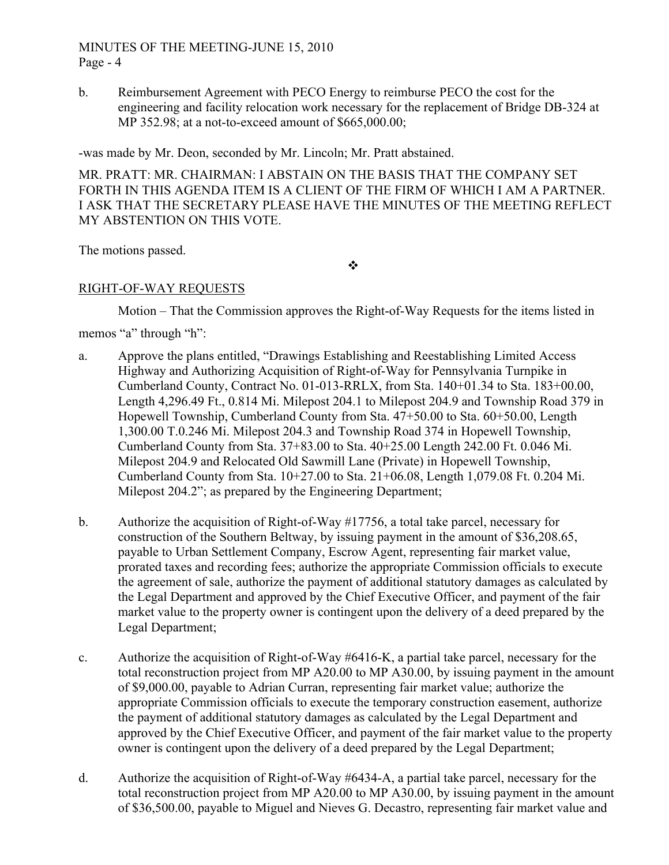## MINUTES OF THE MEETING-JUNE 15, 2010 Page - 4

b. Reimbursement Agreement with PECO Energy to reimburse PECO the cost for the engineering and facility relocation work necessary for the replacement of Bridge DB-324 at MP 352.98; at a not-to-exceed amount of \$665,000.00;

-was made by Mr. Deon, seconded by Mr. Lincoln; Mr. Pratt abstained.

MR. PRATT: MR. CHAIRMAN: I ABSTAIN ON THE BASIS THAT THE COMPANY SET FORTH IN THIS AGENDA ITEM IS A CLIENT OF THE FIRM OF WHICH I AM A PARTNER. I ASK THAT THE SECRETARY PLEASE HAVE THE MINUTES OF THE MEETING REFLECT MY ABSTENTION ON THIS VOTE.

The motions passed.

 $\frac{1}{2}$ 

# RIGHT-OF-WAY REQUESTS

Motion – That the Commission approves the Right-of-Way Requests for the items listed in

memos "a" through "h":

- a. Approve the plans entitled, "Drawings Establishing and Reestablishing Limited Access Highway and Authorizing Acquisition of Right-of-Way for Pennsylvania Turnpike in Cumberland County, Contract No. 01-013-RRLX, from Sta. 140+01.34 to Sta. 183+00.00, Length 4,296.49 Ft., 0.814 Mi. Milepost 204.1 to Milepost 204.9 and Township Road 379 in Hopewell Township, Cumberland County from Sta. 47+50.00 to Sta. 60+50.00, Length 1,300.00 T.0.246 Mi. Milepost 204.3 and Township Road 374 in Hopewell Township, Cumberland County from Sta. 37+83.00 to Sta. 40+25.00 Length 242.00 Ft. 0.046 Mi. Milepost 204.9 and Relocated Old Sawmill Lane (Private) in Hopewell Township, Cumberland County from Sta. 10+27.00 to Sta. 21+06.08, Length 1,079.08 Ft. 0.204 Mi. Milepost 204.2"; as prepared by the Engineering Department;
- b. Authorize the acquisition of Right-of-Way #17756, a total take parcel, necessary for construction of the Southern Beltway, by issuing payment in the amount of \$36,208.65, payable to Urban Settlement Company, Escrow Agent, representing fair market value, prorated taxes and recording fees; authorize the appropriate Commission officials to execute the agreement of sale, authorize the payment of additional statutory damages as calculated by the Legal Department and approved by the Chief Executive Officer, and payment of the fair market value to the property owner is contingent upon the delivery of a deed prepared by the Legal Department;
- c. Authorize the acquisition of Right-of-Way #6416-K, a partial take parcel, necessary for the total reconstruction project from MP A20.00 to MP A30.00, by issuing payment in the amount of \$9,000.00, payable to Adrian Curran, representing fair market value; authorize the appropriate Commission officials to execute the temporary construction easement, authorize the payment of additional statutory damages as calculated by the Legal Department and approved by the Chief Executive Officer, and payment of the fair market value to the property owner is contingent upon the delivery of a deed prepared by the Legal Department;
- d. Authorize the acquisition of Right-of-Way #6434-A, a partial take parcel, necessary for the total reconstruction project from MP A20.00 to MP A30.00, by issuing payment in the amount of \$36,500.00, payable to Miguel and Nieves G. Decastro, representing fair market value and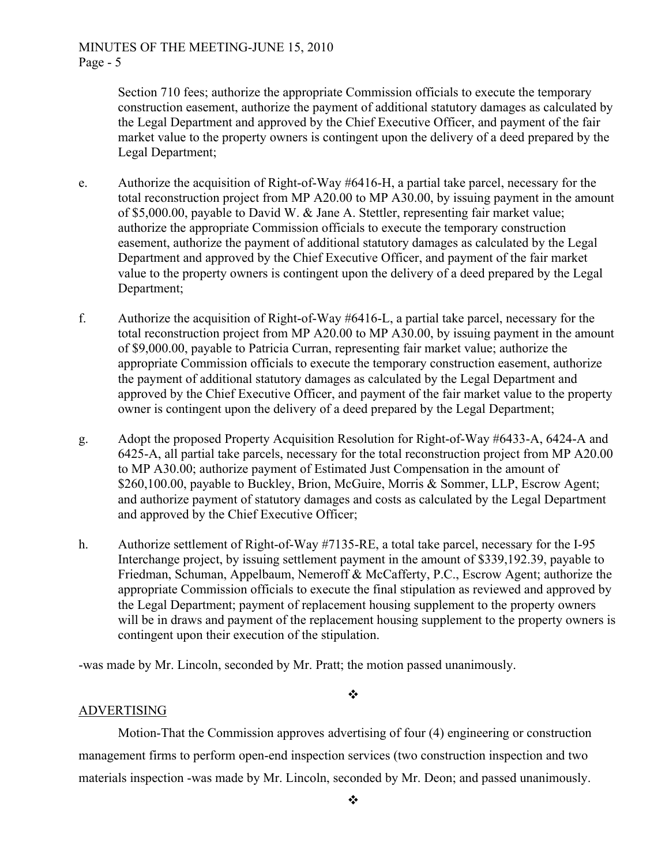Section 710 fees; authorize the appropriate Commission officials to execute the temporary construction easement, authorize the payment of additional statutory damages as calculated by the Legal Department and approved by the Chief Executive Officer, and payment of the fair market value to the property owners is contingent upon the delivery of a deed prepared by the Legal Department;

- e. Authorize the acquisition of Right-of-Way #6416-H, a partial take parcel, necessary for the total reconstruction project from MP A20.00 to MP A30.00, by issuing payment in the amount of \$5,000.00, payable to David W. & Jane A. Stettler, representing fair market value; authorize the appropriate Commission officials to execute the temporary construction easement, authorize the payment of additional statutory damages as calculated by the Legal Department and approved by the Chief Executive Officer, and payment of the fair market value to the property owners is contingent upon the delivery of a deed prepared by the Legal Department;
- f. Authorize the acquisition of Right-of-Way #6416-L, a partial take parcel, necessary for the total reconstruction project from MP A20.00 to MP A30.00, by issuing payment in the amount of \$9,000.00, payable to Patricia Curran, representing fair market value; authorize the appropriate Commission officials to execute the temporary construction easement, authorize the payment of additional statutory damages as calculated by the Legal Department and approved by the Chief Executive Officer, and payment of the fair market value to the property owner is contingent upon the delivery of a deed prepared by the Legal Department;
- g. Adopt the proposed Property Acquisition Resolution for Right-of-Way #6433-A, 6424-A and 6425-A, all partial take parcels, necessary for the total reconstruction project from MP A20.00 to MP A30.00; authorize payment of Estimated Just Compensation in the amount of \$260,100.00, payable to Buckley, Brion, McGuire, Morris & Sommer, LLP, Escrow Agent; and authorize payment of statutory damages and costs as calculated by the Legal Department and approved by the Chief Executive Officer;
- h. Authorize settlement of Right-of-Way #7135-RE, a total take parcel, necessary for the I-95 Interchange project, by issuing settlement payment in the amount of \$339,192.39, payable to Friedman, Schuman, Appelbaum, Nemeroff & McCafferty, P.C., Escrow Agent; authorize the appropriate Commission officials to execute the final stipulation as reviewed and approved by the Legal Department; payment of replacement housing supplement to the property owners will be in draws and payment of the replacement housing supplement to the property owners is contingent upon their execution of the stipulation.

-was made by Mr. Lincoln, seconded by Mr. Pratt; the motion passed unanimously.

### $\cdot$

### ADVERTISING

Motion-That the Commission approves advertising of four (4) engineering or construction management firms to perform open-end inspection services (two construction inspection and two materials inspection -was made by Mr. Lincoln, seconded by Mr. Deon; and passed unanimously.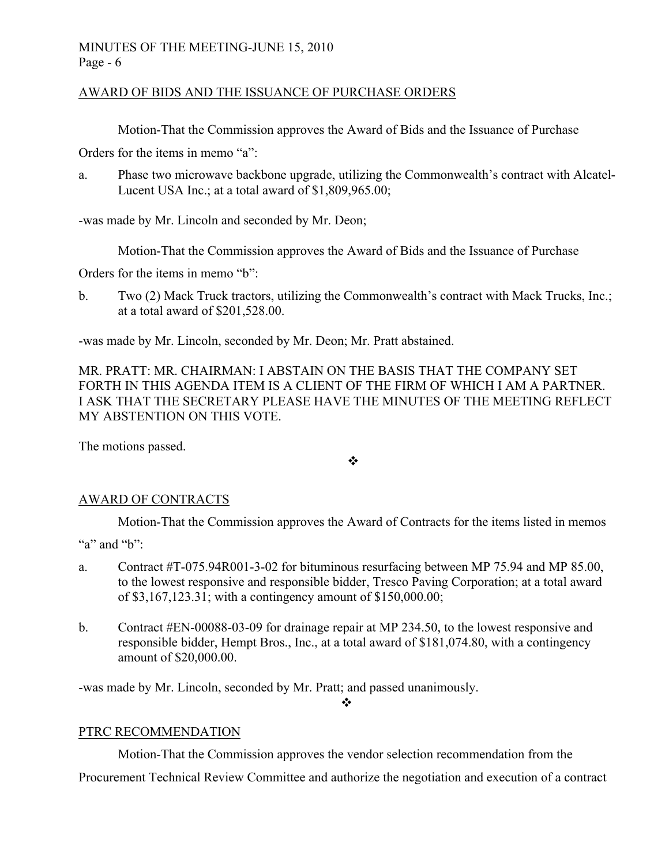## AWARD OF BIDS AND THE ISSUANCE OF PURCHASE ORDERS

Motion-That the Commission approves the Award of Bids and the Issuance of Purchase

Orders for the items in memo "a":

a. Phase two microwave backbone upgrade, utilizing the Commonwealth's contract with Alcatel-Lucent USA Inc.; at a total award of \$1,809,965.00;

-was made by Mr. Lincoln and seconded by Mr. Deon;

Motion-That the Commission approves the Award of Bids and the Issuance of Purchase

Orders for the items in memo "b":

b. Two (2) Mack Truck tractors, utilizing the Commonwealth's contract with Mack Trucks, Inc.; at a total award of \$201,528.00.

-was made by Mr. Lincoln, seconded by Mr. Deon; Mr. Pratt abstained.

MR. PRATT: MR. CHAIRMAN: I ABSTAIN ON THE BASIS THAT THE COMPANY SET FORTH IN THIS AGENDA ITEM IS A CLIENT OF THE FIRM OF WHICH I AM A PARTNER. I ASK THAT THE SECRETARY PLEASE HAVE THE MINUTES OF THE MEETING REFLECT MY ABSTENTION ON THIS VOTE.

The motions passed.

❖

## AWARD OF CONTRACTS

Motion-That the Commission approves the Award of Contracts for the items listed in memos

"a" and "b" $\cdot$ "

- a. Contract #T-075.94R001-3-02 for bituminous resurfacing between MP 75.94 and MP 85.00, to the lowest responsive and responsible bidder, Tresco Paving Corporation; at a total award of \$3,167,123.31; with a contingency amount of \$150,000.00;
- b. Contract #EN-00088-03-09 for drainage repair at MP 234.50, to the lowest responsive and responsible bidder, Hempt Bros., Inc., at a total award of \$181,074.80, with a contingency amount of \$20,000.00.

-was made by Mr. Lincoln, seconded by Mr. Pratt; and passed unanimously.

## PTRC RECOMMENDATION

Motion-That the Commission approves the vendor selection recommendation from the

❖

Procurement Technical Review Committee and authorize the negotiation and execution of a contract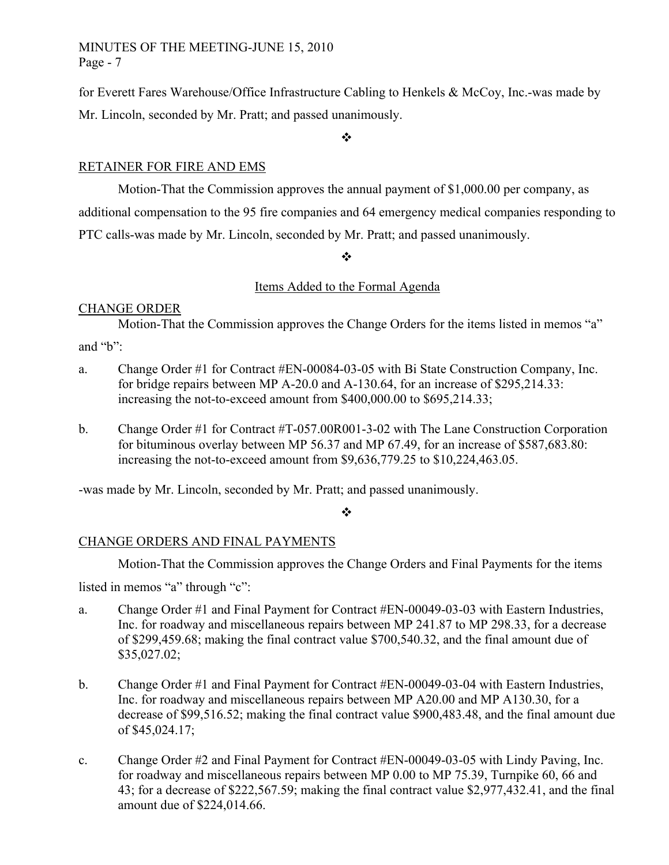## MINUTES OF THE MEETING-JUNE 15, 2010 Page - 7

for Everett Fares Warehouse/Office Infrastructure Cabling to Henkels & McCoy, Inc.-was made by Mr. Lincoln, seconded by Mr. Pratt; and passed unanimously.

 $\ddot{\cdot}$ 

## RETAINER FOR FIRE AND EMS

Motion-That the Commission approves the annual payment of \$1,000.00 per company, as additional compensation to the 95 fire companies and 64 emergency medical companies responding to PTC calls-was made by Mr. Lincoln, seconded by Mr. Pratt; and passed unanimously.

 $\frac{1}{2}$ 

## Items Added to the Formal Agenda

# CHANGE ORDER

Motion-That the Commission approves the Change Orders for the items listed in memos "a" and "b":

- a. Change Order #1 for Contract #EN-00084-03-05 with Bi State Construction Company, Inc. for bridge repairs between MP A-20.0 and A-130.64, for an increase of \$295,214.33: increasing the not-to-exceed amount from \$400,000.00 to \$695,214.33;
- b. Change Order #1 for Contract #T-057.00R001-3-02 with The Lane Construction Corporation for bituminous overlay between MP 56.37 and MP 67.49, for an increase of \$587,683.80: increasing the not-to-exceed amount from \$9,636,779.25 to \$10,224,463.05.

-was made by Mr. Lincoln, seconded by Mr. Pratt; and passed unanimously.

### $\cdot$

# CHANGE ORDERS AND FINAL PAYMENTS

Motion-That the Commission approves the Change Orders and Final Payments for the items

listed in memos "a" through "c":

- a. Change Order #1 and Final Payment for Contract #EN-00049-03-03 with Eastern Industries, Inc. for roadway and miscellaneous repairs between MP 241.87 to MP 298.33, for a decrease of \$299,459.68; making the final contract value \$700,540.32, and the final amount due of \$35,027.02;
- b. Change Order #1 and Final Payment for Contract #EN-00049-03-04 with Eastern Industries, Inc. for roadway and miscellaneous repairs between MP A20.00 and MP A130.30, for a decrease of \$99,516.52; making the final contract value \$900,483.48, and the final amount due of \$45,024.17;
- c. Change Order #2 and Final Payment for Contract #EN-00049-03-05 with Lindy Paving, Inc. for roadway and miscellaneous repairs between MP 0.00 to MP 75.39, Turnpike 60, 66 and 43; for a decrease of \$222,567.59; making the final contract value \$2,977,432.41, and the final amount due of \$224,014.66.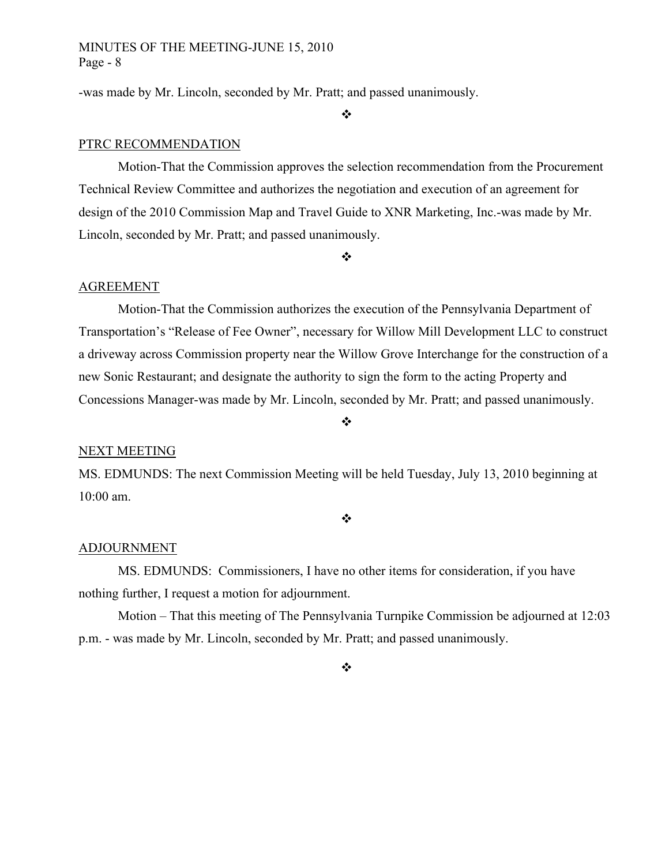### MINUTES OF THE MEETING-JUNE 15, 2010 Page - 8

-was made by Mr. Lincoln, seconded by Mr. Pratt; and passed unanimously.

❖

### PTRC RECOMMENDATION

Motion-That the Commission approves the selection recommendation from the Procurement Technical Review Committee and authorizes the negotiation and execution of an agreement for design of the 2010 Commission Map and Travel Guide to XNR Marketing, Inc.-was made by Mr. Lincoln, seconded by Mr. Pratt; and passed unanimously.

 $\cdot$ 

#### AGREEMENT

Motion-That the Commission authorizes the execution of the Pennsylvania Department of Transportation's "Release of Fee Owner", necessary for Willow Mill Development LLC to construct a driveway across Commission property near the Willow Grove Interchange for the construction of a new Sonic Restaurant; and designate the authority to sign the form to the acting Property and Concessions Manager-was made by Mr. Lincoln, seconded by Mr. Pratt; and passed unanimously.

 $\bullet^{\bullet}_{\bullet} \bullet$ 

### NEXT MEETING

MS. EDMUNDS: The next Commission Meeting will be held Tuesday, July 13, 2010 beginning at 10:00 am.

 $\bullet^{\bullet}_{\bullet} \bullet$ 

#### ADJOURNMENT

MS. EDMUNDS: Commissioners, I have no other items for consideration, if you have nothing further, I request a motion for adjournment.

Motion – That this meeting of The Pennsylvania Turnpike Commission be adjourned at 12:03 p.m. - was made by Mr. Lincoln, seconded by Mr. Pratt; and passed unanimously.

 $\bullet \bullet \bullet$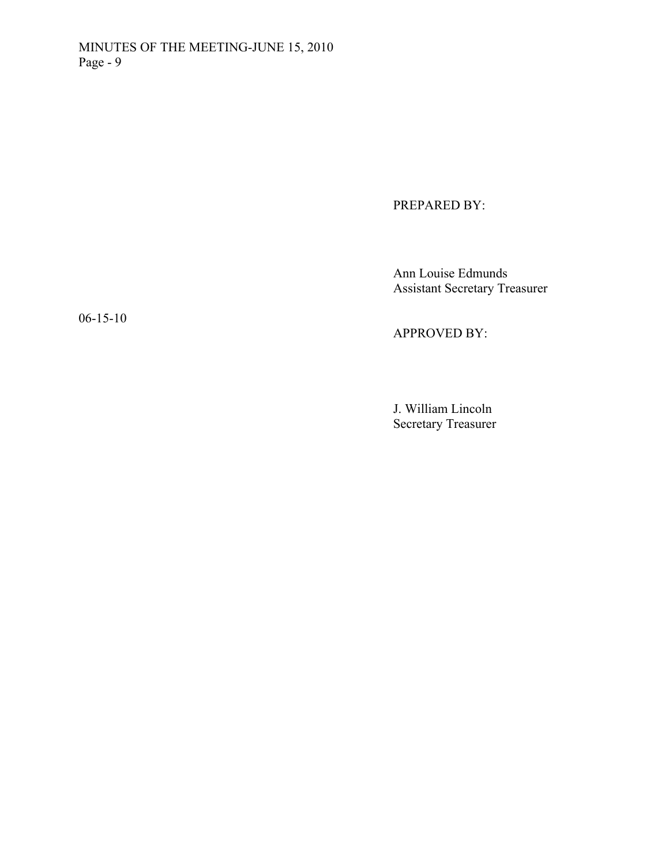PREPARED BY:

Ann Louise Edmunds Assistant Secretary Treasurer

06-15-10

APPROVED BY:

J. William Lincoln Secretary Treasurer